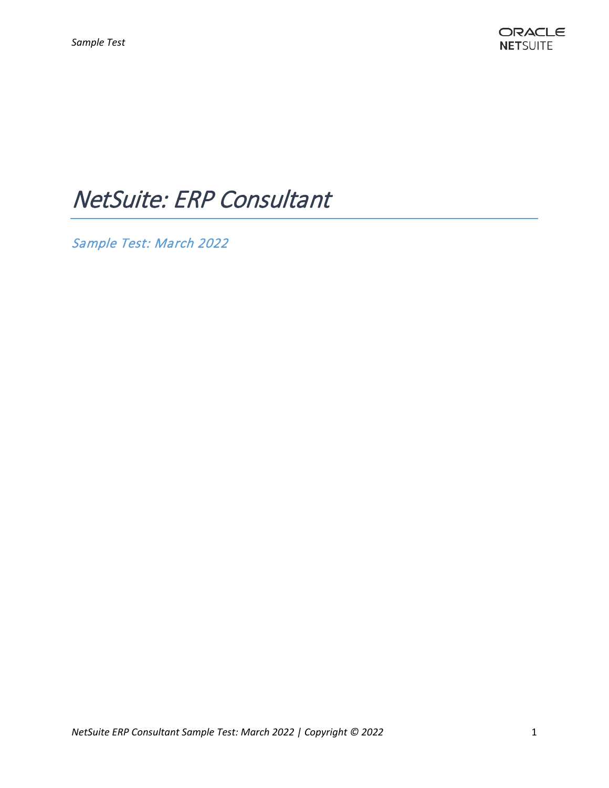# NetSuite: ERP Consultant

Sample Test: March 2022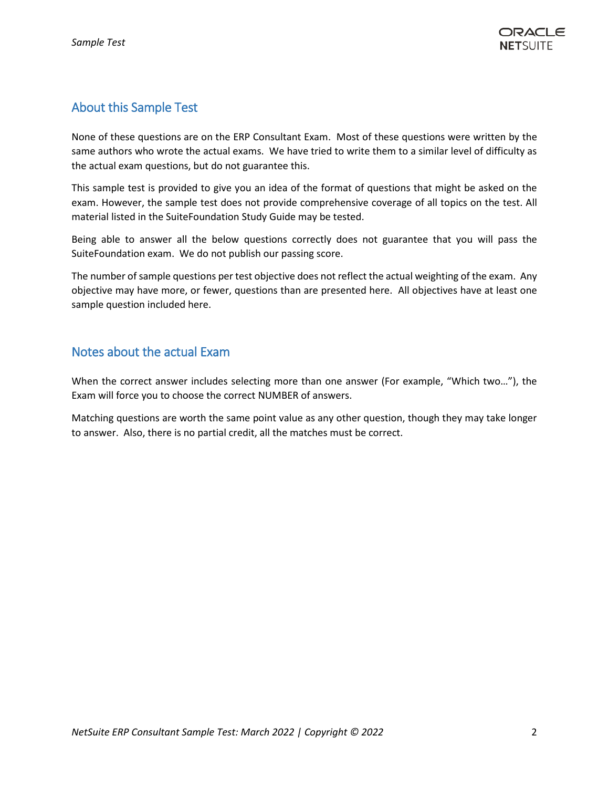# About this Sample Test

None of these questions are on the ERP Consultant Exam. Most of these questions were written by the same authors who wrote the actual exams. We have tried to write them to a similar level of difficulty as the actual exam questions, but do not guarantee this.

This sample test is provided to give you an idea of the format of questions that might be asked on the exam. However, the sample test does not provide comprehensive coverage of all topics on the test. All material listed in the SuiteFoundation Study Guide may be tested.

Being able to answer all the below questions correctly does not guarantee that you will pass the SuiteFoundation exam. We do not publish our passing score.

The number of sample questions per test objective does not reflect the actual weighting of the exam. Any objective may have more, or fewer, questions than are presented here. All objectives have at least one sample question included here.

# Notes about the actual Exam

When the correct answer includes selecting more than one answer (For example, "Which two…"), the Exam will force you to choose the correct NUMBER of answers.

Matching questions are worth the same point value as any other question, though they may take longer to answer. Also, there is no partial credit, all the matches must be correct.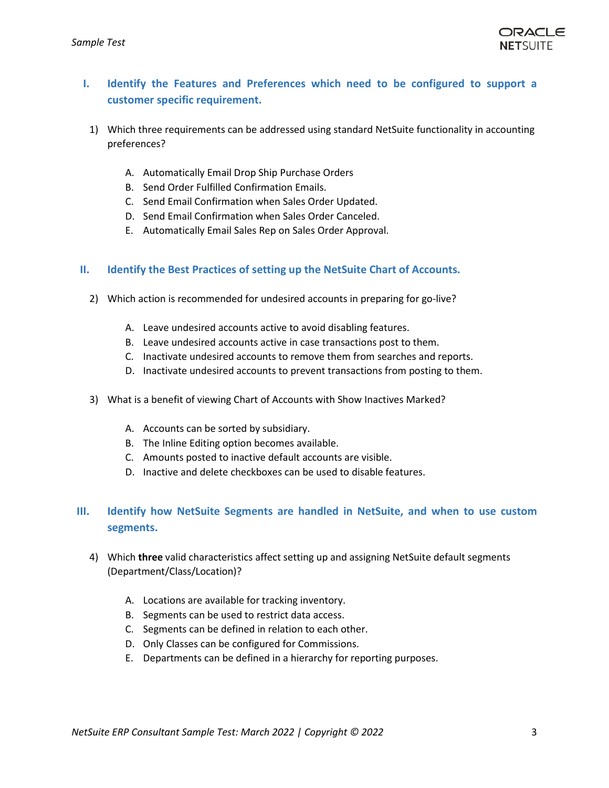

# **I. Identify the Features and Preferences which need to be configured to support a customer specific requirement.**

- 1) Which three requirements can be addressed using standard NetSuite functionality in accounting preferences?
	- A. Automatically Email Drop Ship Purchase Orders
	- B. Send Order Fulfilled Confirmation Emails.
	- C. Send Email Confirmation when Sales Order Updated.
	- D. Send Email Confirmation when Sales Order Canceled.
	- E. Automatically Email Sales Rep on Sales Order Approval.

# **II. Identify the Best Practices of setting up the NetSuite Chart of Accounts.**

- 2) Which action is recommended for undesired accounts in preparing for go-live?
	- A. Leave undesired accounts active to avoid disabling features.
	- B. Leave undesired accounts active in case transactions post to them.
	- C. Inactivate undesired accounts to remove them from searches and reports.
	- D. Inactivate undesired accounts to prevent transactions from posting to them.
- 3) What is a benefit of viewing Chart of Accounts with Show Inactives Marked?
	- A. Accounts can be sorted by subsidiary.
	- B. The Inline Editing option becomes available.
	- C. Amounts posted to inactive default accounts are visible.
	- D. Inactive and delete checkboxes can be used to disable features.

# **III. Identify how NetSuite Segments are handled in NetSuite, and when to use custom segments.**

- 4) Which **three** valid characteristics affect setting up and assigning NetSuite default segments (Department/Class/Location)?
	- A. Locations are available for tracking inventory.
	- B. Segments can be used to restrict data access.
	- C. Segments can be defined in relation to each other.
	- D. Only Classes can be configured for Commissions.
	- E. Departments can be defined in a hierarchy for reporting purposes.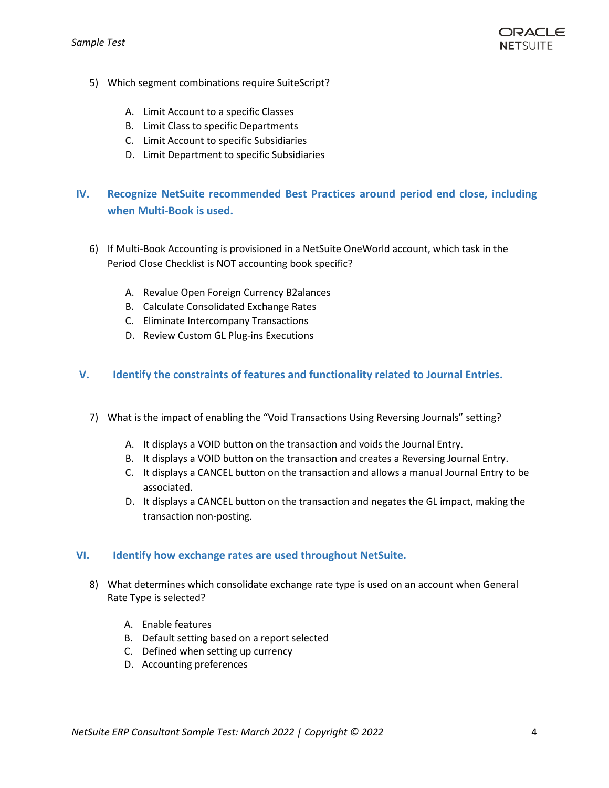

- 5) Which segment combinations require SuiteScript?
	- A. Limit Account to a specific Classes
	- B. Limit Class to specific Departments
	- C. Limit Account to specific Subsidiaries
	- D. Limit Department to specific Subsidiaries

# **IV. Recognize NetSuite recommended Best Practices around period end close, including when Multi-Book is used.**

- 6) If Multi-Book Accounting is provisioned in a NetSuite OneWorld account, which task in the Period Close Checklist is NOT accounting book specific?
	- A. Revalue Open Foreign Currency B2alances
	- B. Calculate Consolidated Exchange Rates
	- C. Eliminate Intercompany Transactions
	- D. Review Custom GL Plug-ins Executions

# **V. Identify the constraints of features and functionality related to Journal Entries.**

- 7) What is the impact of enabling the "Void Transactions Using Reversing Journals" setting?
	- A. It displays a VOID button on the transaction and voids the Journal Entry.
	- B. It displays a VOID button on the transaction and creates a Reversing Journal Entry.
	- C. It displays a CANCEL button on the transaction and allows a manual Journal Entry to be associated.
	- D. It displays a CANCEL button on the transaction and negates the GL impact, making the transaction non-posting.

# **VI. Identify how exchange rates are used throughout NetSuite.**

- 8) What determines which consolidate exchange rate type is used on an account when General Rate Type is selected?
	- A. Enable features
	- B. Default setting based on a report selected
	- C. Defined when setting up currency
	- D. Accounting preferences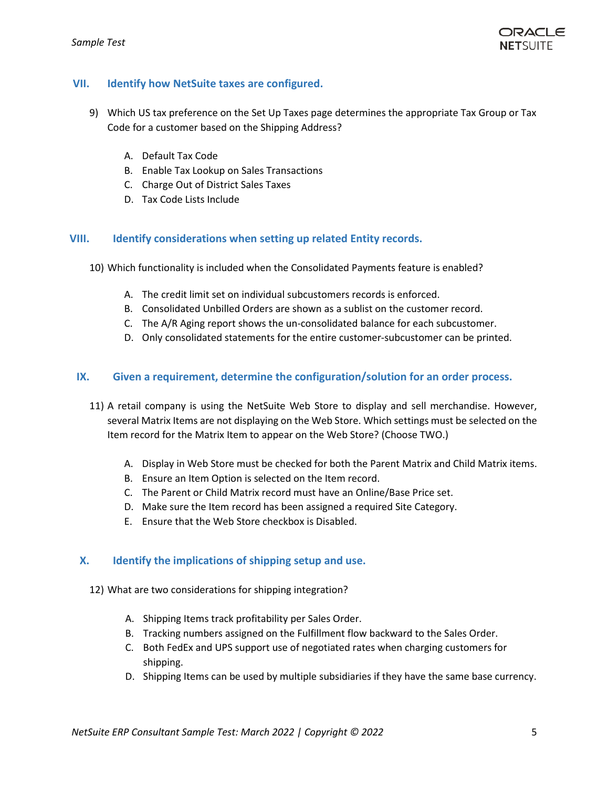

# **VII. Identify how NetSuite taxes are configured.**

- 9) Which US tax preference on the Set Up Taxes page determines the appropriate Tax Group or Tax Code for a customer based on the Shipping Address?
	- A. Default Tax Code
	- B. Enable Tax Lookup on Sales Transactions
	- C. Charge Out of District Sales Taxes
	- D. Tax Code Lists Include

# **VIII. Identify considerations when setting up related Entity records.**

- 10) Which functionality is included when the Consolidated Payments feature is enabled?
	- A. The credit limit set on individual subcustomers records is enforced.
	- B. Consolidated Unbilled Orders are shown as a sublist on the customer record.
	- C. The A/R Aging report shows the un-consolidated balance for each subcustomer.
	- D. Only consolidated statements for the entire customer-subcustomer can be printed.

# **IX. Given a requirement, determine the configuration/solution for an order process.**

- 11) A retail company is using the NetSuite Web Store to display and sell merchandise. However, several Matrix Items are not displaying on the Web Store. Which settings must be selected on the Item record for the Matrix Item to appear on the Web Store? (Choose TWO.)
	- A. Display in Web Store must be checked for both the Parent Matrix and Child Matrix items.
	- B. Ensure an Item Option is selected on the Item record.
	- C. The Parent or Child Matrix record must have an Online/Base Price set.
	- D. Make sure the Item record has been assigned a required Site Category.
	- E. Ensure that the Web Store checkbox is Disabled.

# **X. Identify the implications of shipping setup and use.**

- 12) What are two considerations for shipping integration?
	- A. Shipping Items track profitability per Sales Order.
	- B. Tracking numbers assigned on the Fulfillment flow backward to the Sales Order.
	- C. Both FedEx and UPS support use of negotiated rates when charging customers for shipping.
	- D. Shipping Items can be used by multiple subsidiaries if they have the same base currency.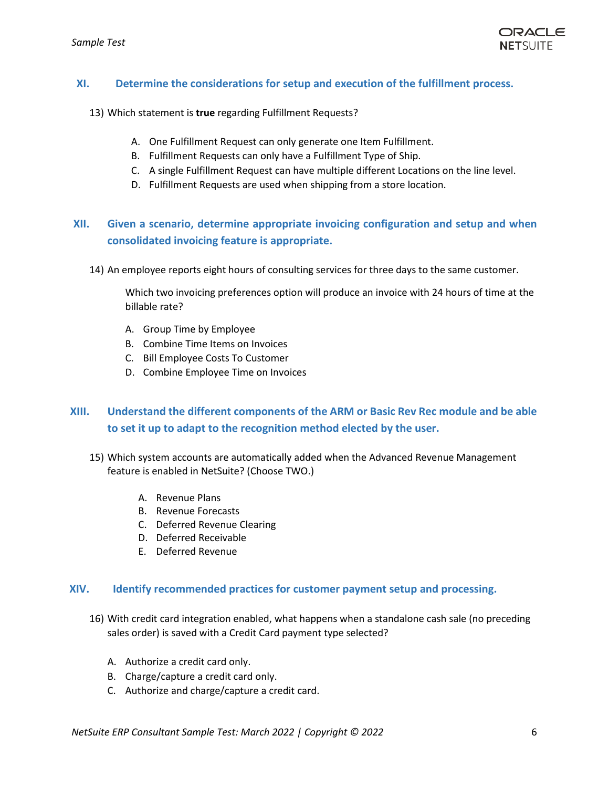

# **XI. Determine the considerations for setup and execution of the fulfillment process.**

- 13) Which statement is **true** regarding Fulfillment Requests?
	- A. One Fulfillment Request can only generate one Item Fulfillment.
	- B. Fulfillment Requests can only have a Fulfillment Type of Ship.
	- C. A single Fulfillment Request can have multiple different Locations on the line level.
	- D. Fulfillment Requests are used when shipping from a store location.

# **XII. Given a scenario, determine appropriate invoicing configuration and setup and when consolidated invoicing feature is appropriate.**

14) An employee reports eight hours of consulting services for three days to the same customer.

Which two invoicing preferences option will produce an invoice with 24 hours of time at the billable rate?

- A. Group Time by Employee
- B. Combine Time Items on Invoices
- C. Bill Employee Costs To Customer
- D. Combine Employee Time on Invoices

# **XIII. Understand the different components of the ARM or Basic Rev Rec module and be able to set it up to adapt to the recognition method elected by the user.**

- 15) Which system accounts are automatically added when the Advanced Revenue Management feature is enabled in NetSuite? (Choose TWO.)
	- A. Revenue Plans
	- B. Revenue Forecasts
	- C. Deferred Revenue Clearing
	- D. Deferred Receivable
	- E. Deferred Revenue

#### **XIV. Identify recommended practices for customer payment setup and processing.**

- 16) With credit card integration enabled, what happens when a standalone cash sale (no preceding sales order) is saved with a Credit Card payment type selected?
	- A. Authorize a credit card only.
	- B. Charge/capture a credit card only.
	- C. Authorize and charge/capture a credit card.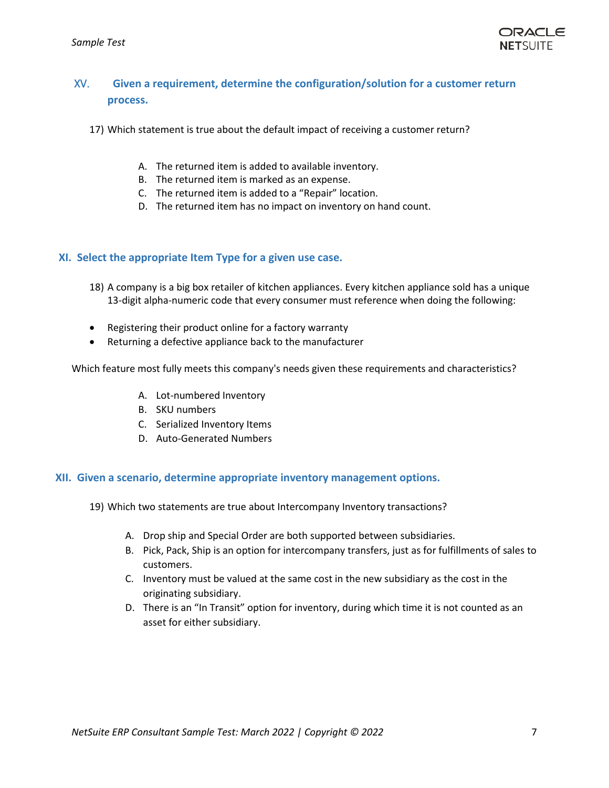

# XV. **Given a requirement, determine the configuration/solution for a customer return process.**

- 17) Which statement is true about the default impact of receiving a customer return?
	- A. The returned item is added to available inventory.
	- B. The returned item is marked as an expense.
	- C. The returned item is added to a "Repair" location.
	- D. The returned item has no impact on inventory on hand count.

## **XI. Select the appropriate Item Type for a given use case.**

- 18) A company is a big box retailer of kitchen appliances. Every kitchen appliance sold has a unique 13-digit alpha-numeric code that every consumer must reference when doing the following:
- Registering their product online for a factory warranty
- Returning a defective appliance back to the manufacturer

Which feature most fully meets this company's needs given these requirements and characteristics?

- A. Lot-numbered Inventory
- B. SKU numbers
- C. Serialized Inventory Items
- D. Auto-Generated Numbers

### **XII. Given a scenario, determine appropriate inventory management options.**

- 19) Which two statements are true about Intercompany Inventory transactions?
	- A. Drop ship and Special Order are both supported between subsidiaries.
	- B. Pick, Pack, Ship is an option for intercompany transfers, just as for fulfillments of sales to customers.
	- C. Inventory must be valued at the same cost in the new subsidiary as the cost in the originating subsidiary.
	- D. There is an "In Transit" option for inventory, during which time it is not counted as an asset for either subsidiary.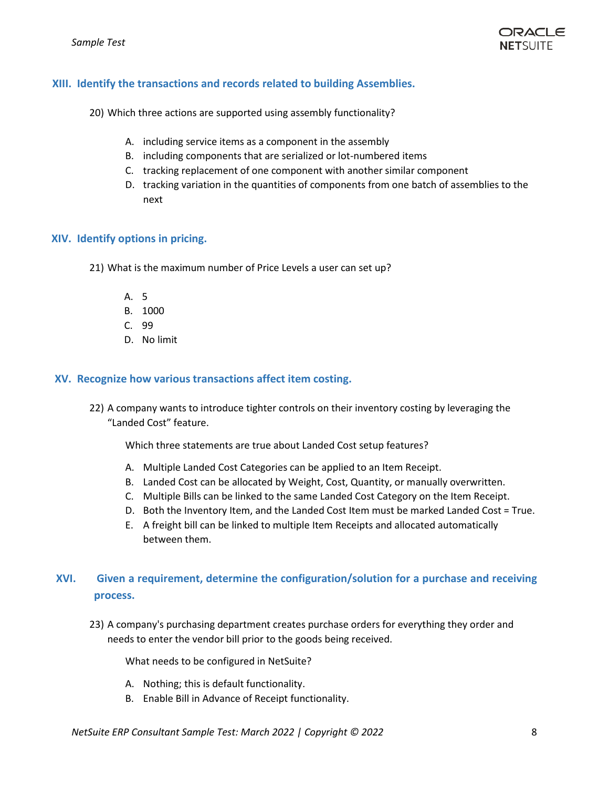

# **XIII. Identify the transactions and records related to building Assemblies.**

20) Which three actions are supported using assembly functionality?

- A. including service items as a component in the assembly
- B. including components that are serialized or lot-numbered items
- C. tracking replacement of one component with another similar component
- D. tracking variation in the quantities of components from one batch of assemblies to the next

## **XIV. Identify options in pricing.**

- 21) What is the maximum number of Price Levels a user can set up?
	- A. 5
	- B. 1000
	- C. 99
	- D. No limit

## **XV. Recognize how various transactions affect item costing.**

22) A company wants to introduce tighter controls on their inventory costing by leveraging the "Landed Cost" feature.

Which three statements are true about Landed Cost setup features?

- A. Multiple Landed Cost Categories can be applied to an Item Receipt.
- B. Landed Cost can be allocated by Weight, Cost, Quantity, or manually overwritten.
- C. Multiple Bills can be linked to the same Landed Cost Category on the Item Receipt.
- D. Both the Inventory Item, and the Landed Cost Item must be marked Landed Cost = True.
- E. A freight bill can be linked to multiple Item Receipts and allocated automatically between them.

# **XVI. Given a requirement, determine the configuration/solution for a purchase and receiving process.**

23) A company's purchasing department creates purchase orders for everything they order and needs to enter the vendor bill prior to the goods being received.

What needs to be configured in NetSuite?

- A. Nothing; this is default functionality.
- B. Enable Bill in Advance of Receipt functionality.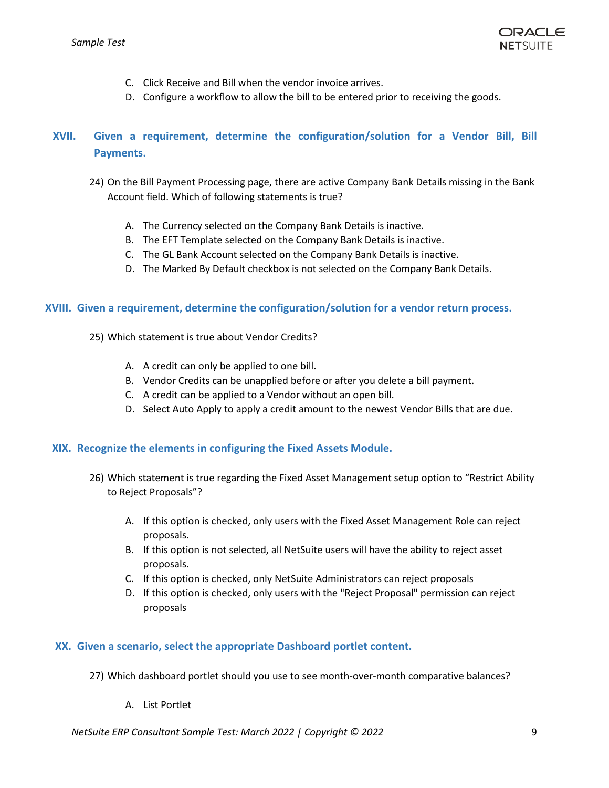

- C. Click Receive and Bill when the vendor invoice arrives.
- D. Configure a workflow to allow the bill to be entered prior to receiving the goods.

# **XVII. Given a requirement, determine the configuration/solution for a Vendor Bill, Bill Payments.**

- 24) On the Bill Payment Processing page, there are active Company Bank Details missing in the Bank Account field. Which of following statements is true?
	- A. The Currency selected on the Company Bank Details is inactive.
	- B. The EFT Template selected on the Company Bank Details is inactive.
	- C. The GL Bank Account selected on the Company Bank Details is inactive.
	- D. The Marked By Default checkbox is not selected on the Company Bank Details.

## **XVIII. Given a requirement, determine the configuration/solution for a vendor return process.**

- 25) Which statement is true about Vendor Credits?
	- A. A credit can only be applied to one bill.
	- B. Vendor Credits can be unapplied before or after you delete a bill payment.
	- C. A credit can be applied to a Vendor without an open bill.
	- D. Select Auto Apply to apply a credit amount to the newest Vendor Bills that are due.

# **XIX. Recognize the elements in configuring the Fixed Assets Module.**

- 26) Which statement is true regarding the Fixed Asset Management setup option to "Restrict Ability to Reject Proposals"?
	- A. If this option is checked, only users with the Fixed Asset Management Role can reject proposals.
	- B. If this option is not selected, all NetSuite users will have the ability to reject asset proposals.
	- C. If this option is checked, only NetSuite Administrators can reject proposals
	- D. If this option is checked, only users with the "Reject Proposal" permission can reject proposals

# **XX. Given a scenario, select the appropriate Dashboard portlet content.**

- 27) Which dashboard portlet should you use to see month-over-month comparative balances?
	- A. List Portlet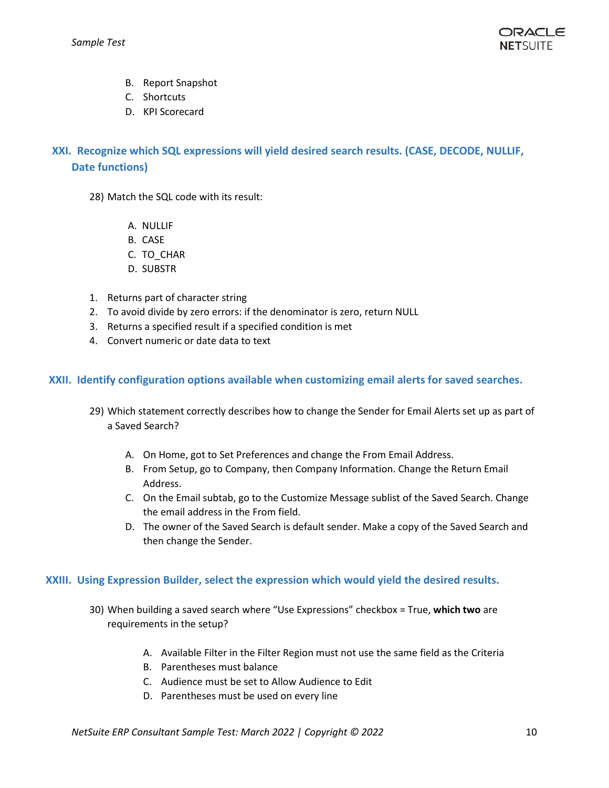- B. Report Snapshot
- C. Shortcuts
- D. KPI Scorecard

# **XXI. Recognize which SQL expressions will yield desired search results. (CASE, DECODE, NULLIF, Date functions)**

- 28) Match the SQL code with its result:
	- A. NULLIF
	- B. CASE
	- C. TO\_CHAR
	- D. SUBSTR
- 1. Returns part of character string
- 2. To avoid divide by zero errors: if the denominator is zero, return NULL
- 3. Returns a specified result if a specified condition is met
- 4. Convert numeric or date data to text

# **XXII. Identify configuration options available when customizing email alerts for saved searches.**

- 29) Which statement correctly describes how to change the Sender for Email Alerts set up as part of a Saved Search?
	- A. On Home, got to Set Preferences and change the From Email Address.
	- B. From Setup, go to Company, then Company Information. Change the Return Email Address.
	- C. On the Email subtab, go to the Customize Message sublist of the Saved Search. Change the email address in the From field.
	- D. The owner of the Saved Search is default sender. Make a copy of the Saved Search and then change the Sender.

# **XXIII. Using Expression Builder, select the expression which would yield the desired results.**

- 30) When building a saved search where "Use Expressions" checkbox = True, **which two** are requirements in the setup?
	- A. Available Filter in the Filter Region must not use the same field as the Criteria
	- B. Parentheses must balance
	- C. Audience must be set to Allow Audience to Edit
	- D. Parentheses must be used on every line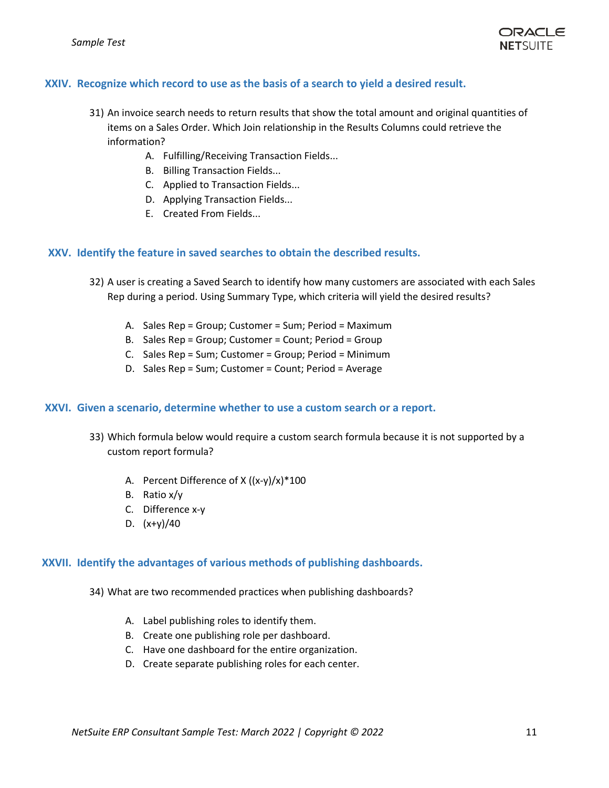

# **XXIV. Recognize which record to use as the basis of a search to yield a desired result.**

- 31) An invoice search needs to return results that show the total amount and original quantities of items on a Sales Order. Which Join relationship in the Results Columns could retrieve the information?
	- A. Fulfilling/Receiving Transaction Fields...
	- B. Billing Transaction Fields...
	- C. Applied to Transaction Fields...
	- D. Applying Transaction Fields...
	- E. Created From Fields...

## **XXV. Identify the feature in saved searches to obtain the described results.**

- 32) A user is creating a Saved Search to identify how many customers are associated with each Sales Rep during a period. Using Summary Type, which criteria will yield the desired results?
	- A. Sales Rep = Group; Customer = Sum; Period = Maximum
	- B. Sales Rep = Group; Customer = Count; Period = Group
	- C. Sales Rep = Sum; Customer = Group; Period = Minimum
	- D. Sales Rep = Sum; Customer = Count; Period = Average

#### **XXVI. Given a scenario, determine whether to use a custom search or a report.**

- 33) Which formula below would require a custom search formula because it is not supported by a custom report formula?
	- A. Percent Difference of X ((x-y)/x)\*100
	- B. Ratio x/y
	- C. Difference x-y
	- D.  $(x+y)/40$

#### **XXVII. Identify the advantages of various methods of publishing dashboards.**

- 34) What are two recommended practices when publishing dashboards?
	- A. Label publishing roles to identify them.
	- B. Create one publishing role per dashboard.
	- C. Have one dashboard for the entire organization.
	- D. Create separate publishing roles for each center.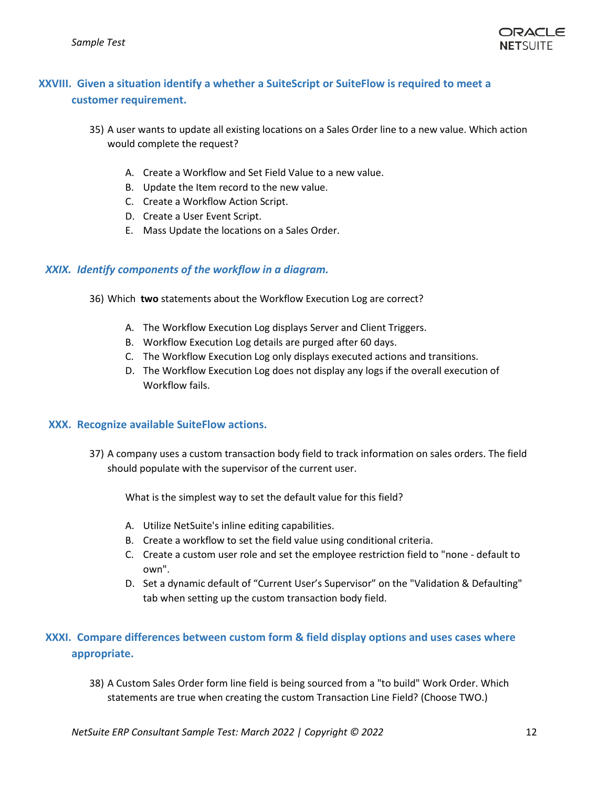

# **XXVIII. Given a situation identify a whether a SuiteScript or SuiteFlow is required to meet a customer requirement.**

- 35) A user wants to update all existing locations on a Sales Order line to a new value. Which action would complete the request?
	- A. Create a Workflow and Set Field Value to a new value.
	- B. Update the Item record to the new value.
	- C. Create a Workflow Action Script.
	- D. Create a User Event Script.
	- E. Mass Update the locations on a Sales Order.

## *XXIX. Identify components of the workflow in a diagram.*

- 36) Which **two** statements about the Workflow Execution Log are correct?
	- A. The Workflow Execution Log displays Server and Client Triggers.
	- B. Workflow Execution Log details are purged after 60 days.
	- C. The Workflow Execution Log only displays executed actions and transitions.
	- D. The Workflow Execution Log does not display any logs if the overall execution of Workflow fails.

#### **XXX. Recognize available SuiteFlow actions.**

37) A company uses a custom transaction body field to track information on sales orders. The field should populate with the supervisor of the current user.

What is the simplest way to set the default value for this field?

- A. Utilize NetSuite's inline editing capabilities.
- B. Create a workflow to set the field value using conditional criteria.
- C. Create a custom user role and set the employee restriction field to "none default to own".
- D. Set a dynamic default of "Current User's Supervisor" on the "Validation & Defaulting" tab when setting up the custom transaction body field.

# **XXXI. Compare differences between custom form & field display options and uses cases where appropriate.**

38) A Custom Sales Order form line field is being sourced from a "to build" Work Order. Which statements are true when creating the custom Transaction Line Field? (Choose TWO.)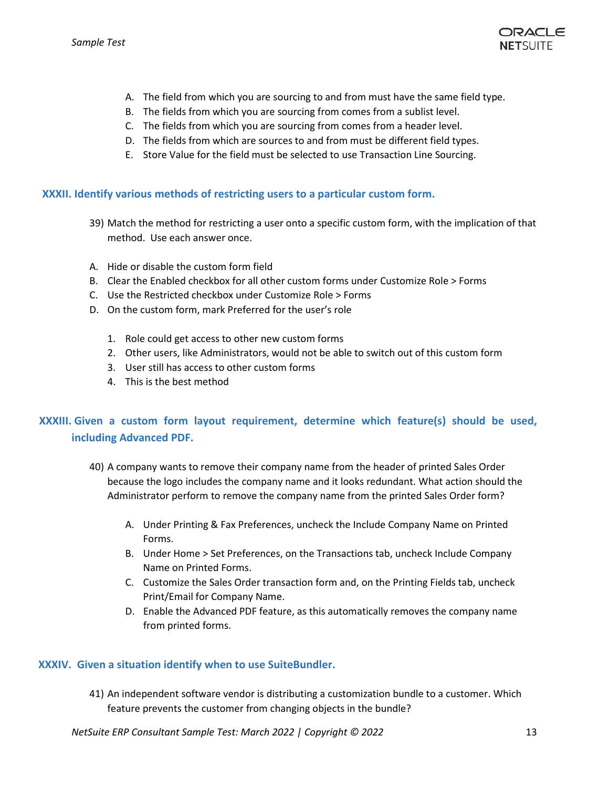

- A. The field from which you are sourcing to and from must have the same field type.
- B. The fields from which you are sourcing from comes from a sublist level.
- C. The fields from which you are sourcing from comes from a header level.
- D. The fields from which are sources to and from must be different field types.
- E. Store Value for the field must be selected to use Transaction Line Sourcing.

### **XXXII. Identify various methods of restricting users to a particular custom form.**

- 39) Match the method for restricting a user onto a specific custom form, with the implication of that method. Use each answer once.
- A. Hide or disable the custom form field
- B. Clear the Enabled checkbox for all other custom forms under Customize Role > Forms
- C. Use the Restricted checkbox under Customize Role > Forms
- D. On the custom form, mark Preferred for the user's role
	- 1. Role could get access to other new custom forms
	- 2. Other users, like Administrators, would not be able to switch out of this custom form
	- 3. User still has access to other custom forms
	- 4. This is the best method

# **XXXIII. Given a custom form layout requirement, determine which feature(s) should be used, including Advanced PDF.**

- 40) A company wants to remove their company name from the header of printed Sales Order because the logo includes the company name and it looks redundant. What action should the Administrator perform to remove the company name from the printed Sales Order form?
	- A. Under Printing & Fax Preferences, uncheck the Include Company Name on Printed Forms.
	- B. Under Home > Set Preferences, on the Transactions tab, uncheck Include Company Name on Printed Forms.
	- C. Customize the Sales Order transaction form and, on the Printing Fields tab, uncheck Print/Email for Company Name.
	- D. Enable the Advanced PDF feature, as this automatically removes the company name from printed forms.

# **XXXIV. Given a situation identify when to use SuiteBundler.**

41) An independent software vendor is distributing a customization bundle to a customer. Which feature prevents the customer from changing objects in the bundle?

*NetSuite ERP Consultant Sample Test: March 2022 | Copyright © 2022* 13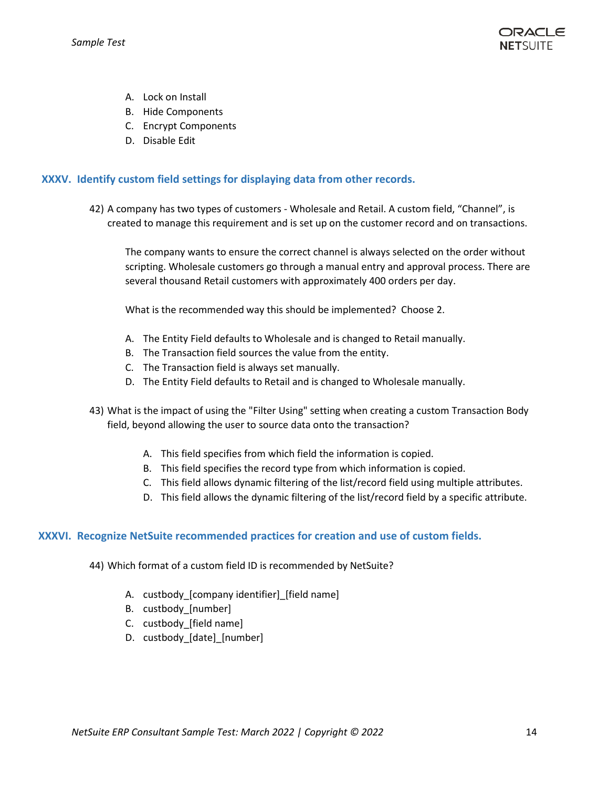

- A. Lock on Install
- B. Hide Components
- C. Encrypt Components
- D. Disable Edit

# **XXXV. Identify custom field settings for displaying data from other records.**

42) A company has two types of customers - Wholesale and Retail. A custom field, "Channel", is created to manage this requirement and is set up on the customer record and on transactions.

The company wants to ensure the correct channel is always selected on the order without scripting. Wholesale customers go through a manual entry and approval process. There are several thousand Retail customers with approximately 400 orders per day.

What is the recommended way this should be implemented? Choose 2.

- A. The Entity Field defaults to Wholesale and is changed to Retail manually.
- B. The Transaction field sources the value from the entity.
- C. The Transaction field is always set manually.
- D. The Entity Field defaults to Retail and is changed to Wholesale manually.
- 43) What is the impact of using the "Filter Using" setting when creating a custom Transaction Body field, beyond allowing the user to source data onto the transaction?
	- A. This field specifies from which field the information is copied.
	- B. This field specifies the record type from which information is copied.
	- C. This field allows dynamic filtering of the list/record field using multiple attributes.
	- D. This field allows the dynamic filtering of the list/record field by a specific attribute.

# **XXXVI. Recognize NetSuite recommended practices for creation and use of custom fields.**

44) Which format of a custom field ID is recommended by NetSuite?

- A. custbody [company identifier] [field name]
- B. custbody\_[number]
- C. custbody\_[field name]
- D. custbody [date] [number]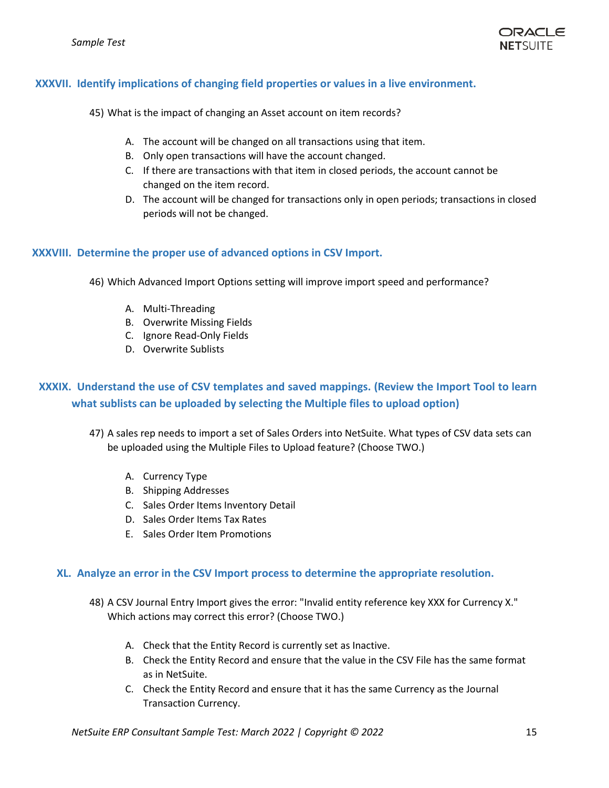# **XXXVII. Identify implications of changing field properties or values in a live environment.**

45) What is the impact of changing an Asset account on item records?

- A. The account will be changed on all transactions using that item.
- B. Only open transactions will have the account changed.
- C. If there are transactions with that item in closed periods, the account cannot be changed on the item record.
- D. The account will be changed for transactions only in open periods; transactions in closed periods will not be changed.

## **XXXVIII. Determine the proper use of advanced options in CSV Import.**

46) Which Advanced Import Options setting will improve import speed and performance?

- A. Multi-Threading
- B. Overwrite Missing Fields
- C. Ignore Read-Only Fields
- D. Overwrite Sublists

# **XXXIX. Understand the use of CSV templates and saved mappings. (Review the Import Tool to learn what sublists can be uploaded by selecting the Multiple files to upload option)**

47) A sales rep needs to import a set of Sales Orders into NetSuite. What types of CSV data sets can be uploaded using the Multiple Files to Upload feature? (Choose TWO.)

- A. Currency Type
- B. Shipping Addresses
- C. Sales Order Items Inventory Detail
- D. Sales Order Items Tax Rates
- E. Sales Order Item Promotions

#### **XL. Analyze an error in the CSV Import process to determine the appropriate resolution.**

- 48) A CSV Journal Entry Import gives the error: "Invalid entity reference key XXX for Currency X." Which actions may correct this error? (Choose TWO.)
	- A. Check that the Entity Record is currently set as Inactive.
	- B. Check the Entity Record and ensure that the value in the CSV File has the same format as in NetSuite.
	- C. Check the Entity Record and ensure that it has the same Currency as the Journal Transaction Currency.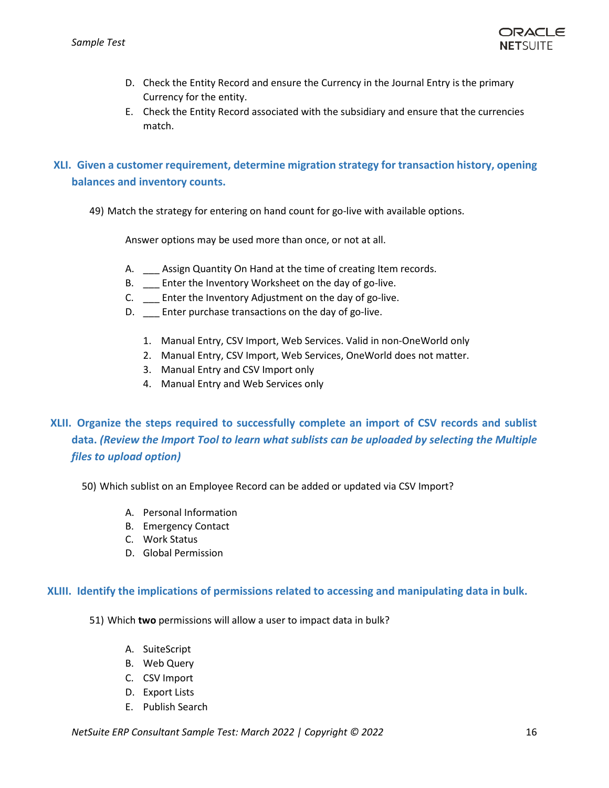

- D. Check the Entity Record and ensure the Currency in the Journal Entry is the primary Currency for the entity.
- E. Check the Entity Record associated with the subsidiary and ensure that the currencies match.

# **XLI. Given a customer requirement, determine migration strategy for transaction history, opening balances and inventory counts.**

49) Match the strategy for entering on hand count for go-live with available options.

Answer options may be used more than once, or not at all.

- A. \_\_\_ Assign Quantity On Hand at the time of creating Item records.
- B. \_\_\_ Enter the Inventory Worksheet on the day of go-live.
- C. \_\_\_ Enter the Inventory Adjustment on the day of go-live.
- D. \_\_\_ Enter purchase transactions on the day of go-live.
	- 1. Manual Entry, CSV Import, Web Services. Valid in non-OneWorld only
	- 2. Manual Entry, CSV Import, Web Services, OneWorld does not matter.
	- 3. Manual Entry and CSV Import only
	- 4. Manual Entry and Web Services only

# **XLII. Organize the steps required to successfully complete an import of CSV records and sublist data.** *(Review the Import Tool to learn what sublists can be uploaded by selecting the Multiple files to upload option)*

# 50) Which sublist on an Employee Record can be added or updated via CSV Import?

- A. Personal Information
- B. Emergency Contact
- C. Work Status
- D. Global Permission

# **XLIII. Identify the implications of permissions related to accessing and manipulating data in bulk.**

- 51) Which **two** permissions will allow a user to impact data in bulk?
	- A. SuiteScript
	- B. Web Query
	- C. CSV Import
	- D. Export Lists
	- E. Publish Search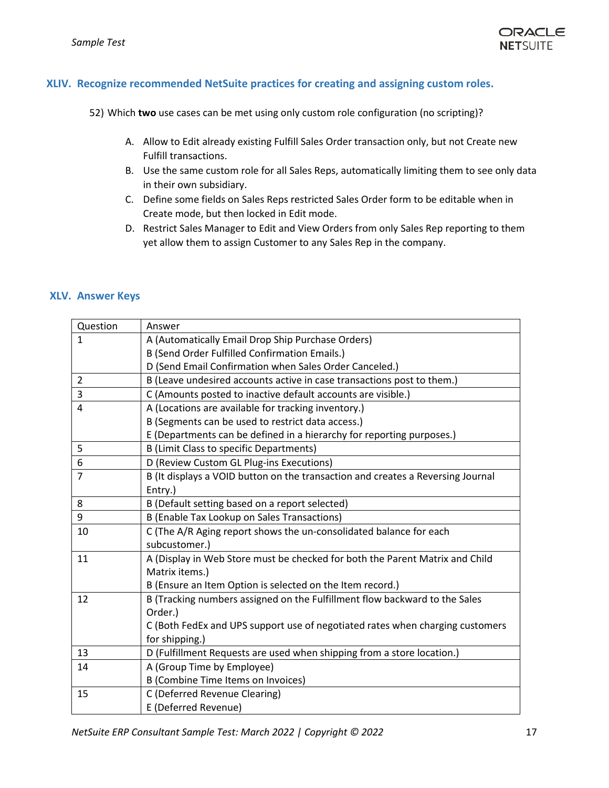

# **XLIV. Recognize recommended NetSuite practices for creating and assigning custom roles.**

52) Which **two** use cases can be met using only custom role configuration (no scripting)?

- A. Allow to Edit already existing Fulfill Sales Order transaction only, but not Create new Fulfill transactions.
- B. Use the same custom role for all Sales Reps, automatically limiting them to see only data in their own subsidiary.
- C. Define some fields on Sales Reps restricted Sales Order form to be editable when in Create mode, but then locked in Edit mode.
- D. Restrict Sales Manager to Edit and View Orders from only Sales Rep reporting to them yet allow them to assign Customer to any Sales Rep in the company.

### **XLV. Answer Keys**

| Question       | Answer                                                                          |
|----------------|---------------------------------------------------------------------------------|
| $\mathbf{1}$   | A (Automatically Email Drop Ship Purchase Orders)                               |
|                | <b>B (Send Order Fulfilled Confirmation Emails.)</b>                            |
|                | D (Send Email Confirmation when Sales Order Canceled.)                          |
| $\overline{2}$ | B (Leave undesired accounts active in case transactions post to them.)          |
| 3              | C (Amounts posted to inactive default accounts are visible.)                    |
| $\overline{4}$ | A (Locations are available for tracking inventory.)                             |
|                | B (Segments can be used to restrict data access.)                               |
|                | E (Departments can be defined in a hierarchy for reporting purposes.)           |
| 5              | <b>B (Limit Class to specific Departments)</b>                                  |
| 6              | D (Review Custom GL Plug-ins Executions)                                        |
| $\overline{7}$ | B (It displays a VOID button on the transaction and creates a Reversing Journal |
|                | Entry.)                                                                         |
| 8              | B (Default setting based on a report selected)                                  |
| 9              | B (Enable Tax Lookup on Sales Transactions)                                     |
| 10             | C (The A/R Aging report shows the un-consolidated balance for each              |
|                | subcustomer.)                                                                   |
| 11             | A (Display in Web Store must be checked for both the Parent Matrix and Child    |
|                | Matrix items.)                                                                  |
|                | B (Ensure an Item Option is selected on the Item record.)                       |
| 12             | B (Tracking numbers assigned on the Fulfillment flow backward to the Sales      |
|                | Order.)                                                                         |
|                | C (Both FedEx and UPS support use of negotiated rates when charging customers   |
|                | for shipping.)                                                                  |
| 13             | D (Fulfillment Requests are used when shipping from a store location.)          |
| 14             | A (Group Time by Employee)                                                      |
|                | B (Combine Time Items on Invoices)                                              |
| 15             | C (Deferred Revenue Clearing)                                                   |
|                | E (Deferred Revenue)                                                            |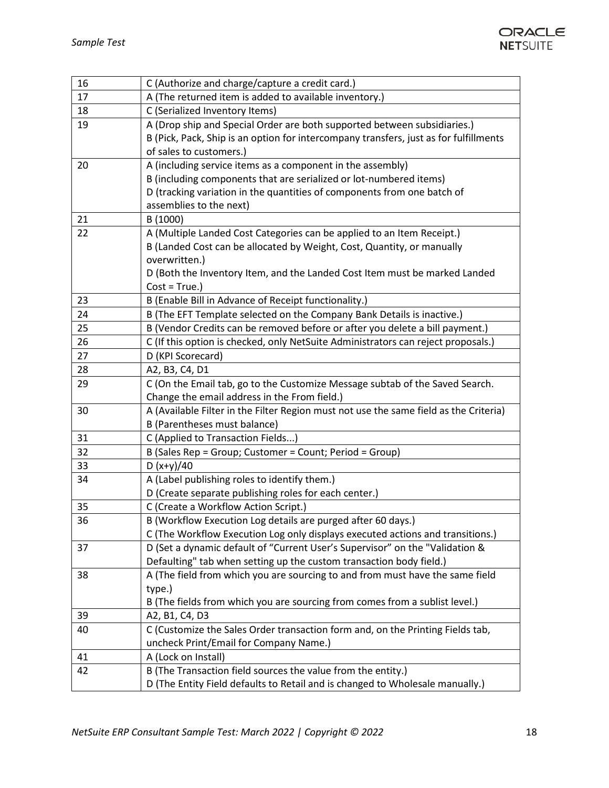

| 16 | C (Authorize and charge/capture a credit card.)                                       |
|----|---------------------------------------------------------------------------------------|
| 17 | A (The returned item is added to available inventory.)                                |
| 18 | C (Serialized Inventory Items)                                                        |
| 19 | A (Drop ship and Special Order are both supported between subsidiaries.)              |
|    | B (Pick, Pack, Ship is an option for intercompany transfers, just as for fulfillments |
|    | of sales to customers.)                                                               |
| 20 | A (including service items as a component in the assembly)                            |
|    | B (including components that are serialized or lot-numbered items)                    |
|    | D (tracking variation in the quantities of components from one batch of               |
|    | assemblies to the next)                                                               |
| 21 | B (1000)                                                                              |
| 22 | A (Multiple Landed Cost Categories can be applied to an Item Receipt.)                |
|    | B (Landed Cost can be allocated by Weight, Cost, Quantity, or manually                |
|    | overwritten.)                                                                         |
|    | D (Both the Inventory Item, and the Landed Cost Item must be marked Landed            |
|    | $Cost = True.$ )                                                                      |
| 23 | B (Enable Bill in Advance of Receipt functionality.)                                  |
| 24 | B (The EFT Template selected on the Company Bank Details is inactive.)                |
| 25 | B (Vendor Credits can be removed before or after you delete a bill payment.)          |
| 26 | C (If this option is checked, only NetSuite Administrators can reject proposals.)     |
| 27 | D (KPI Scorecard)                                                                     |
| 28 | A2, B3, C4, D1                                                                        |
| 29 | C (On the Email tab, go to the Customize Message subtab of the Saved Search.          |
|    | Change the email address in the From field.)                                          |
| 30 | A (Available Filter in the Filter Region must not use the same field as the Criteria) |
|    | B (Parentheses must balance)                                                          |
| 31 | C (Applied to Transaction Fields)                                                     |
| 32 | B (Sales Rep = Group; Customer = Count; Period = Group)                               |
| 33 | D $(x+y)/40$                                                                          |
| 34 | A (Label publishing roles to identify them.)                                          |
|    | D (Create separate publishing roles for each center.)                                 |
| 35 | C (Create a Workflow Action Script.)                                                  |
| 36 | B (Workflow Execution Log details are purged after 60 days.)                          |
|    | C (The Workflow Execution Log only displays executed actions and transitions.)        |
| 37 | D (Set a dynamic default of "Current User's Supervisor" on the "Validation &          |
|    | Defaulting" tab when setting up the custom transaction body field.)                   |
| 38 | A (The field from which you are sourcing to and from must have the same field         |
|    | type.)                                                                                |
|    | B (The fields from which you are sourcing from comes from a sublist level.)           |
| 39 | A2, B1, C4, D3                                                                        |
| 40 | C (Customize the Sales Order transaction form and, on the Printing Fields tab,        |
|    | uncheck Print/Email for Company Name.)                                                |
| 41 | A (Lock on Install)                                                                   |
| 42 | B (The Transaction field sources the value from the entity.)                          |
|    | D (The Entity Field defaults to Retail and is changed to Wholesale manually.)         |